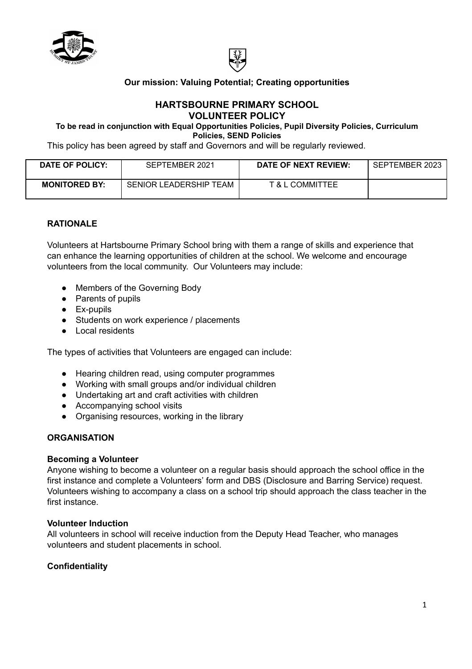



## **Our mission: Valuing Potential; Creating opportunities**

### **HARTSBOURNE PRIMARY SCHOOL VOLUNTEER POLICY**

**To be read in conjunction with Equal Opportunities Policies, Pupil Diversity Policies, Curriculum Policies, SEND Policies**

This policy has been agreed by staff and Governors and will be regularly reviewed.

| DATE OF POLICY:      | SEPTEMBER 2021         | DATE OF NEXT REVIEW: | SEPTEMBER 2023 |
|----------------------|------------------------|----------------------|----------------|
| <b>MONITORED BY:</b> | SENIOR LEADERSHIP TEAM | T & L COMMITTEE      |                |

### **RATIONALE**

Volunteers at Hartsbourne Primary School bring with them a range of skills and experience that can enhance the learning opportunities of children at the school. We welcome and encourage volunteers from the local community. Our Volunteers may include:

- Members of the Governing Body
- Parents of pupils
- Ex-pupils
- Students on work experience / placements
- Local residents

The types of activities that Volunteers are engaged can include:

- Hearing children read, using computer programmes
- Working with small groups and/or individual children
- Undertaking art and craft activities with children
- Accompanying school visits
- Organising resources, working in the library

## **ORGANISATION**

### **Becoming a Volunteer**

Anyone wishing to become a volunteer on a regular basis should approach the school office in the first instance and complete a Volunteers' form and DBS (Disclosure and Barring Service) request. Volunteers wishing to accompany a class on a school trip should approach the class teacher in the first instance.

### **Volunteer Induction**

All volunteers in school will receive induction from the Deputy Head Teacher, who manages volunteers and student placements in school.

# **Confidentiality**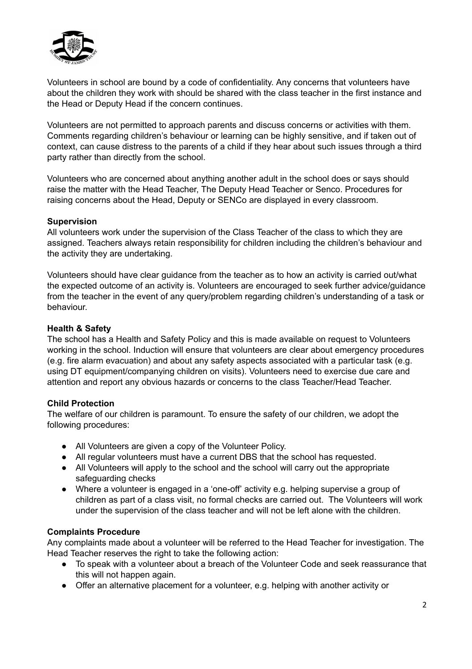

Volunteers in school are bound by a code of confidentiality. Any concerns that volunteers have about the children they work with should be shared with the class teacher in the first instance and the Head or Deputy Head if the concern continues.

Volunteers are not permitted to approach parents and discuss concerns or activities with them. Comments regarding children's behaviour or learning can be highly sensitive, and if taken out of context, can cause distress to the parents of a child if they hear about such issues through a third party rather than directly from the school.

Volunteers who are concerned about anything another adult in the school does or says should raise the matter with the Head Teacher, The Deputy Head Teacher or Senco. Procedures for raising concerns about the Head, Deputy or SENCo are displayed in every classroom.

### **Supervision**

All volunteers work under the supervision of the Class Teacher of the class to which they are assigned. Teachers always retain responsibility for children including the children's behaviour and the activity they are undertaking.

Volunteers should have clear guidance from the teacher as to how an activity is carried out/what the expected outcome of an activity is. Volunteers are encouraged to seek further advice/guidance from the teacher in the event of any query/problem regarding children's understanding of a task or behaviour.

### **Health & Safety**

The school has a Health and Safety Policy and this is made available on request to Volunteers working in the school. Induction will ensure that volunteers are clear about emergency procedures (e.g. fire alarm evacuation) and about any safety aspects associated with a particular task (e.g. using DT equipment/companying children on visits). Volunteers need to exercise due care and attention and report any obvious hazards or concerns to the class Teacher/Head Teacher.

### **Child Protection**

The welfare of our children is paramount. To ensure the safety of our children, we adopt the following procedures:

- All Volunteers are given a copy of the Volunteer Policy.
- All regular volunteers must have a current DBS that the school has requested.
- All Volunteers will apply to the school and the school will carry out the appropriate safeguarding checks
- Where a volunteer is engaged in a 'one-off' activity e.g. helping supervise a group of children as part of a class visit, no formal checks are carried out. The Volunteers will work under the supervision of the class teacher and will not be left alone with the children.

### **Complaints Procedure**

Any complaints made about a volunteer will be referred to the Head Teacher for investigation. The Head Teacher reserves the right to take the following action:

- To speak with a volunteer about a breach of the Volunteer Code and seek reassurance that this will not happen again.
- Offer an alternative placement for a volunteer, e.g. helping with another activity or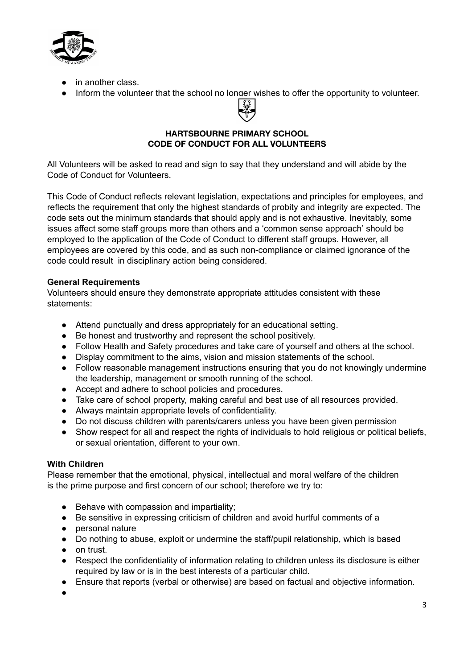

- in another class.
- Inform the volunteer that the school no longer wishes to offer the opportunity to volunteer.



### **HARTSBOURNE PRIMARY SCHOOL CODE OF CONDUCT FOR ALL VOLUNTEERS**

All Volunteers will be asked to read and sign to say that they understand and will abide by the Code of Conduct for Volunteers.

This Code of Conduct reflects relevant legislation, expectations and principles for employees, and reflects the requirement that only the highest standards of probity and integrity are expected. The code sets out the minimum standards that should apply and is not exhaustive. Inevitably, some issues affect some staff groups more than others and a 'common sense approach' should be employed to the application of the Code of Conduct to different staff groups. However, all employees are covered by this code, and as such non-compliance or claimed ignorance of the code could result in disciplinary action being considered.

### **General Requirements**

Volunteers should ensure they demonstrate appropriate attitudes consistent with these statements:

- Attend punctually and dress appropriately for an educational setting.
- Be honest and trustworthy and represent the school positively.
- Follow Health and Safety procedures and take care of yourself and others at the school.
- Display commitment to the aims, vision and mission statements of the school.
- Follow reasonable management instructions ensuring that you do not knowingly undermine the leadership, management or smooth running of the school.
- Accept and adhere to school policies and procedures.
- Take care of school property, making careful and best use of all resources provided.
- Always maintain appropriate levels of confidentiality.
- Do not discuss children with parents/carers unless you have been given permission
- Show respect for all and respect the rights of individuals to hold religious or political beliefs, or sexual orientation, different to your own.

### **With Children**

Please remember that the emotional, physical, intellectual and moral welfare of the children is the prime purpose and first concern of our school; therefore we try to:

- Behave with compassion and impartiality;
- Be sensitive in expressing criticism of children and avoid hurtful comments of a
- personal nature
- Do nothing to abuse, exploit or undermine the staff/pupil relationship, which is based
- on trust.
- Respect the confidentiality of information relating to children unless its disclosure is either required by law or is in the best interests of a particular child.
- Ensure that reports (verbal or otherwise) are based on factual and objective information.

●